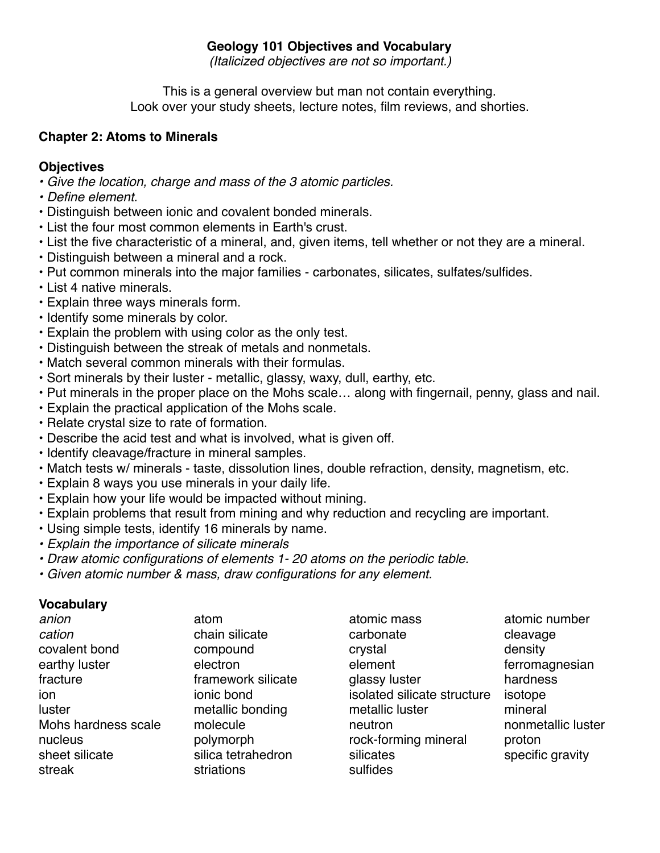### **Geology 101 Objectives and Vocabulary**

*(Italicized objectives are not so important.)*

This is a general overview but man not contain everything. Look over your study sheets, lecture notes, film reviews, and shorties.

### **Chapter 2: Atoms to Minerals**

# **Objectives**

- *Give the location, charge and mass of the 3 atomic particles.*
- *• Define element.*
- Distinguish between ionic and covalent bonded minerals.
- List the four most common elements in Earth's crust.
- List the five characteristic of a mineral, and, given items, tell whether or not they are a mineral.
- Distinguish between a mineral and a rock.
- Put common minerals into the major families carbonates, silicates, sulfates/sulfides.
- List 4 native minerals.
- Explain three ways minerals form.
- Identify some minerals by color.
- Explain the problem with using color as the only test.
- Distinguish between the streak of metals and nonmetals.
- Match several common minerals with their formulas.
- Sort minerals by their luster metallic, glassy, waxy, dull, earthy, etc.
- Put minerals in the proper place on the Mohs scale… along with fingernail, penny, glass and nail.
- Explain the practical application of the Mohs scale.
- Relate crystal size to rate of formation.
- Describe the acid test and what is involved, what is given off.
- Identify cleavage/fracture in mineral samples.
- Match tests w/ minerals taste, dissolution lines, double refraction, density, magnetism, etc.
- Explain 8 ways you use minerals in your daily life.
- Explain how your life would be impacted without mining.
- Explain problems that result from mining and why reduction and recycling are important.
- Using simple tests, identify 16 minerals by name.
- *• Explain the importance of silicate minerals*
- *• Draw atomic configurations of elements 1- 20 atoms on the periodic table.*
- *• Given atomic number & mass, draw configurations for any element.*

| anion               | atom               | atomic mass                 | atomic number      |
|---------------------|--------------------|-----------------------------|--------------------|
| cation              | chain silicate     | carbonate                   | cleavage           |
| covalent bond       | compound           | crystal                     | density            |
| earthy luster       | electron           | element                     | ferromagnesian     |
| fracture            | framework silicate | glassy luster               | hardness           |
| ion                 | ionic bond         | isolated silicate structure | isotope            |
| luster              | metallic bonding   | metallic luster             | mineral            |
| Mohs hardness scale | molecule           | neutron                     | nonmetallic luster |
| nucleus             | polymorph          | rock-forming mineral        | proton             |
| sheet silicate      | silica tetrahedron | silicates                   | specific gravity   |
| streak              | striations         | sulfides                    |                    |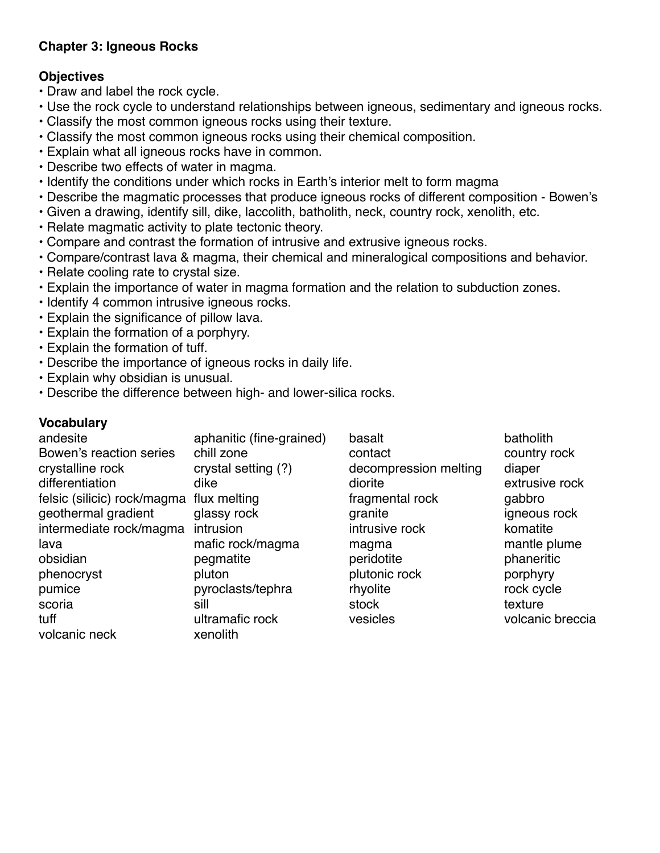# **Chapter 3: Igneous Rocks**

# **Objectives**

- Draw and label the rock cycle.
- Use the rock cycle to understand relationships between igneous, sedimentary and igneous rocks.
- Classify the most common igneous rocks using their texture.
- Classify the most common igneous rocks using their chemical composition.
- Explain what all igneous rocks have in common.
- Describe two effects of water in magma.
- Identify the conditions under which rocks in Earth's interior melt to form magma
- Describe the magmatic processes that produce igneous rocks of different composition Bowen's
- Given a drawing, identify sill, dike, laccolith, batholith, neck, country rock, xenolith, etc.
- Relate magmatic activity to plate tectonic theory.
- Compare and contrast the formation of intrusive and extrusive igneous rocks.
- Compare/contrast lava & magma, their chemical and mineralogical compositions and behavior.
- Relate cooling rate to crystal size.
- Explain the importance of water in magma formation and the relation to subduction zones.
- Identify 4 common intrusive igneous rocks.
- Explain the significance of pillow lava.
- Explain the formation of a porphyry.
- Explain the formation of tuff.
- Describe the importance of igneous rocks in daily life.
- Explain why obsidian is unusual.
- Describe the difference between high- and lower-silica rocks.

| andesite                    | aphanitic (fine-grained) | basalt                | batholith        |
|-----------------------------|--------------------------|-----------------------|------------------|
| Bowen's reaction series     | chill zone               | contact               | country rock     |
| crystalline rock            | crystal setting (?)      | decompression melting | diaper           |
| differentiation             | dike                     | diorite               | extrusive rock   |
| felsic (silicic) rock/magma | flux melting             | fragmental rock       | gabbro           |
| geothermal gradient         | glassy rock              | granite               | igneous rock     |
| intermediate rock/magma     | intrusion                | intrusive rock        | komatite         |
| lava                        | mafic rock/magma         | magma                 | mantle plume     |
| obsidian                    | pegmatite                | peridotite            | phaneritic       |
| phenocryst                  | pluton                   | plutonic rock         | porphyry         |
| pumice                      | pyroclasts/tephra        | rhyolite              | rock cycle       |
| scoria                      | sill                     | stock                 | texture          |
| tuff                        | ultramafic rock          | vesicles              | volcanic breccia |
| volcanic neck               | xenolith                 |                       |                  |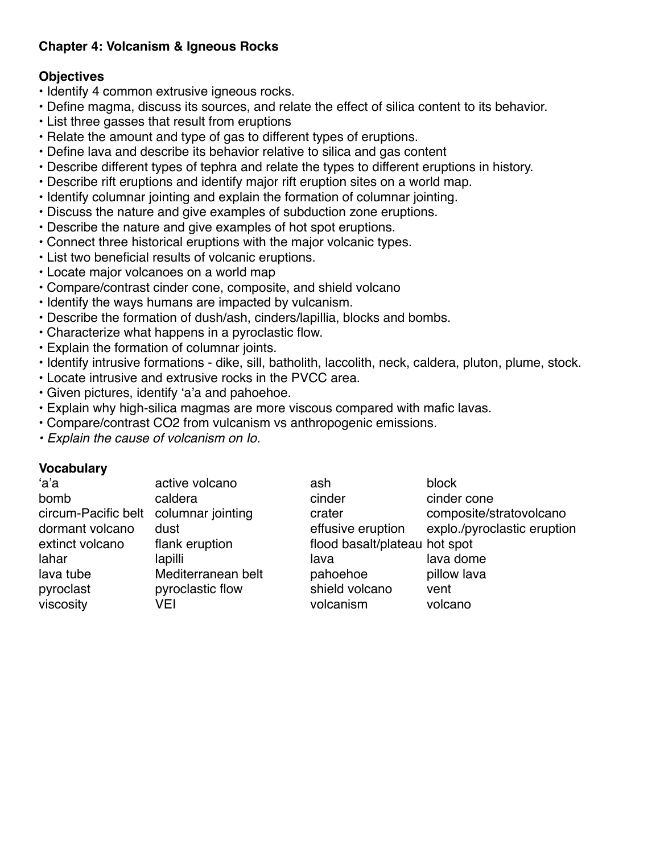# **Chapter 4: Volcanism & Igneous Rocks**

## **Objectives**

- Identify 4 common extrusive igneous rocks.
- Define magma, discuss its sources, and relate the effect of silica content to its behavior.
- List three gasses that result from eruptions
- Relate the amount and type of gas to different types of eruptions.
- Define lava and describe its behavior relative to silica and gas content
- Describe different types of tephra and relate the types to different eruptions in history.
- Describe rift eruptions and identify major rift eruption sites on a world map.
- Identify columnar jointing and explain the formation of columnar jointing.
- Discuss the nature and give examples of subduction zone eruptions.
- Describe the nature and give examples of hot spot eruptions.
- Connect three historical eruptions with the major volcanic types.
- List two beneficial results of volcanic eruptions.
- Locate major volcanoes on a world map
- Compare/contrast cinder cone, composite, and shield volcano
- Identify the ways humans are impacted by vulcanism.
- Describe the formation of dush/ash, cinders/lapillia, blocks and bombs.
- Characterize what happens in a pyroclastic flow.
- Explain the formation of columnar joints.
- Identify intrusive formations dike, sill, batholith, laccolith, neck, caldera, pluton, plume, stock.
- Locate intrusive and extrusive rocks in the PVCC area.
- Given pictures, identify 'a'a and pahoehoe.
- Explain why high-silica magmas are more viscous compared with mafic lavas.
- Compare/contrast CO2 from vulcanism vs anthropogenic emissions.
- *Explain the cause of volcanism on Io.*

| 'a'a                | active volcano     | ash                           | block                       |
|---------------------|--------------------|-------------------------------|-----------------------------|
| bomb                | caldera            | cinder                        | cinder cone                 |
| circum-Pacific belt | columnar jointing  | crater                        | composite/stratovolcano     |
| dormant volcano     | dust               | effusive eruption             | explo./pyroclastic eruption |
| extinct volcano     | flank eruption     | flood basalt/plateau hot spot |                             |
| lahar               | lapilli            | lava                          | lava dome                   |
| lava tube           | Mediterranean belt | pahoehoe                      | pillow lava                 |
| pyroclast           | pyroclastic flow   | shield volcano                | vent                        |
| viscosity           | VEI                | volcanism                     | volcano                     |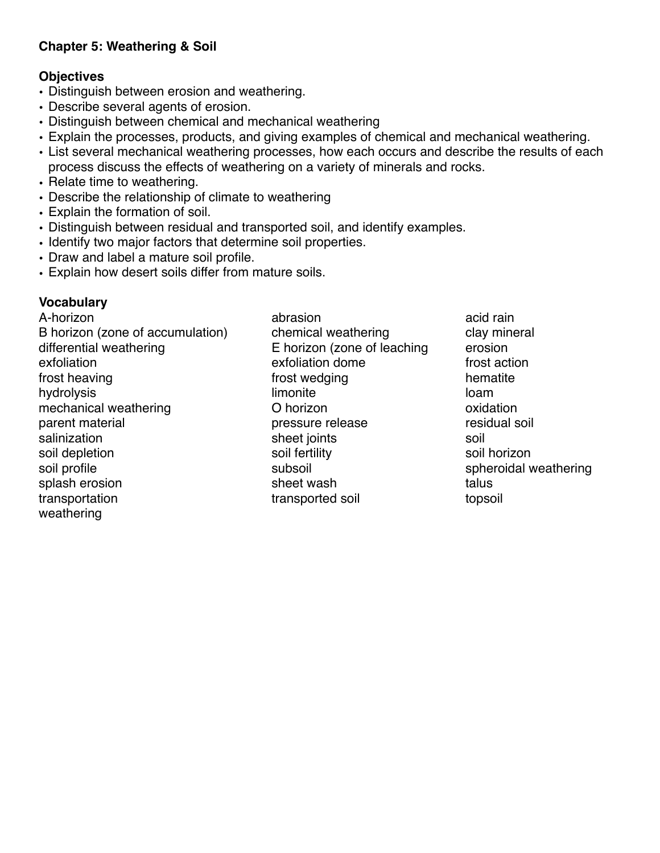# **Chapter 5: Weathering & Soil**

### **Objectives**

- Distinguish between erosion and weathering.
- Describe several agents of erosion.
- Distinguish between chemical and mechanical weathering
- Explain the processes, products, and giving examples of chemical and mechanical weathering.
- List several mechanical weathering processes, how each occurs and describe the results of each process discuss the effects of weathering on a variety of minerals and rocks.
- Relate time to weathering.
- Describe the relationship of climate to weathering
- Explain the formation of soil.
- Distinguish between residual and transported soil, and identify examples.
- Identify two major factors that determine soil properties.
- Draw and label a mature soil profile.
- Explain how desert soils differ from mature soils.

# **Vocabulary**

A-horizon abrasion abrasion acid rain B horizon (zone of accumulation) chemical weathering clay mineral differential weathering E horizon (zone of leaching erosion exfoliation exfoliation exfoliation dome frost action frost heaving the state of the state of the state of the state of the state of the state of the state of the state of the state of the state of the state of the state of the state of the state of the state of the state of hydrolysis limonite loam mechanical weathering and D horizon control oxidation parent material pressure release residual soil salinization sheet joints sheet is soil soil depletion soil fertility soil fertility soil horizon soil profile subsoil subsoil subsoil subsoil spheroidal weathering splash erosion sheet wash talus transportation transported soil topsoil weathering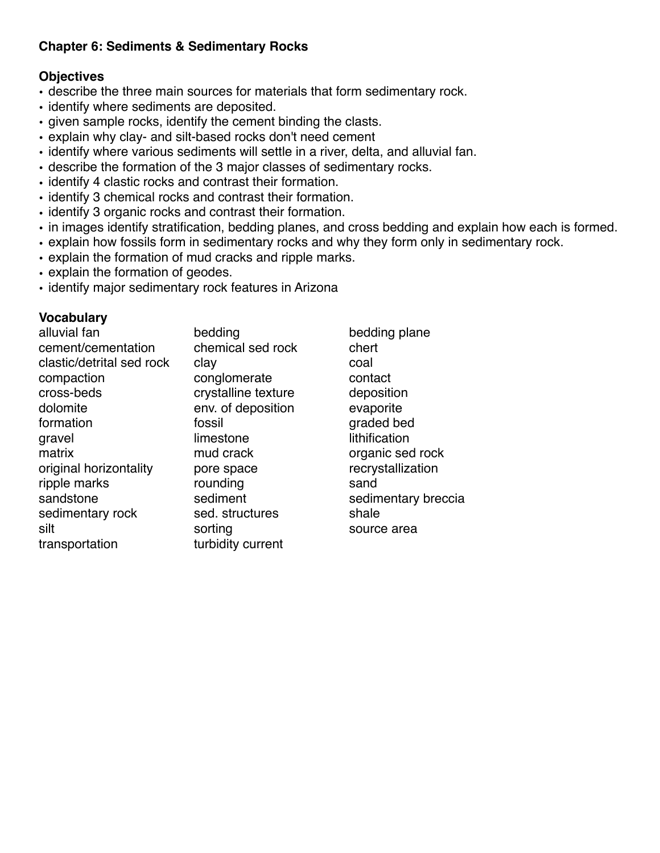# **Chapter 6: Sediments & Sedimentary Rocks**

# **Objectives**

- describe the three main sources for materials that form sedimentary rock.
- identify where sediments are deposited.
- given sample rocks, identify the cement binding the clasts.
- explain why clay- and silt-based rocks don't need cement
- identify where various sediments will settle in a river, delta, and alluvial fan.
- describe the formation of the 3 major classes of sedimentary rocks.
- identify 4 clastic rocks and contrast their formation.
- identify 3 chemical rocks and contrast their formation.
- identify 3 organic rocks and contrast their formation.
- in images identify stratification, bedding planes, and cross bedding and explain how each is formed.
- explain how fossils form in sedimentary rocks and why they form only in sedimentary rock.
- explain the formation of mud cracks and ripple marks.
- explain the formation of geodes.
- identify major sedimentary rock features in Arizona

| alluvial fan              | bedding             | bedding plane       |
|---------------------------|---------------------|---------------------|
| cement/cementation        | chemical sed rock   | chert               |
| clastic/detrital sed rock | clay                | coal                |
| compaction                | conglomerate        | contact             |
| cross-beds                | crystalline texture | deposition          |
| dolomite                  | env. of deposition  | evaporite           |
| formation                 | fossil              | graded bed          |
| gravel                    | limestone           | lithification       |
| matrix                    | mud crack           | organic sed rock    |
| original horizontality    | pore space          | recrystallization   |
| ripple marks              | rounding            | sand                |
| sandstone                 | sediment            | sedimentary breccia |
| sedimentary rock          | sed. structures     | shale               |
| silt                      | sorting             | source area         |
| transportation            | turbidity current   |                     |
|                           |                     |                     |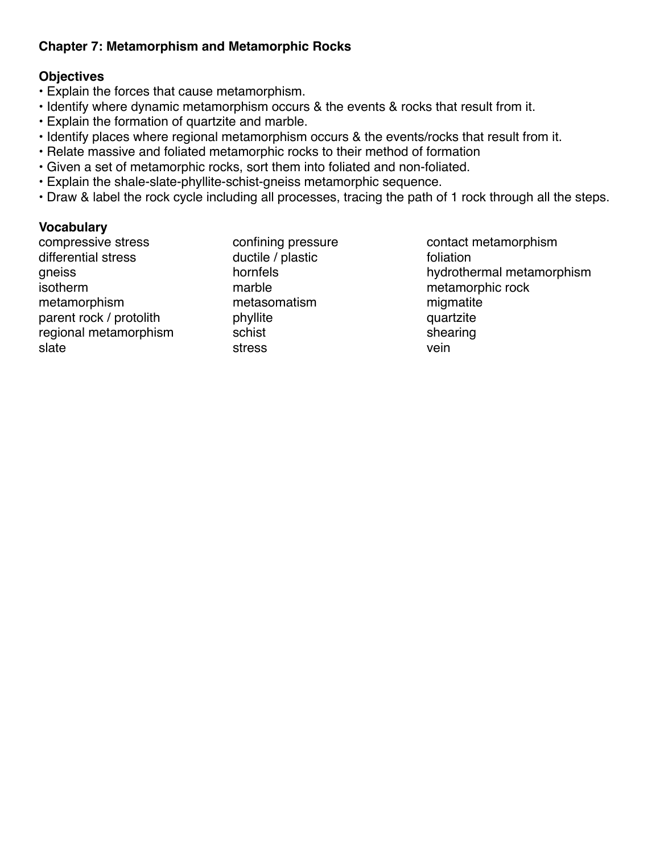# **Chapter 7: Metamorphism and Metamorphic Rocks**

# **Objectives**

- Explain the forces that cause metamorphism.
- Identify where dynamic metamorphism occurs & the events & rocks that result from it.
- Explain the formation of quartzite and marble.
- Identify places where regional metamorphism occurs & the events/rocks that result from it.
- Relate massive and foliated metamorphic rocks to their method of formation
- Given a set of metamorphic rocks, sort them into foliated and non-foliated.
- Explain the shale-slate-phyllite-schist-gneiss metamorphic sequence.
- Draw & label the rock cycle including all processes, tracing the path of 1 rock through all the steps.

### **Vocabulary**

differential stress ductile / plastic foliation metamorphism metasomatism migmatite parent rock / protolith phyllite phyllite quartzite regional metamorphism schist shearing schist shearing slate stress stress vein

compressive stress confining pressure contact metamorphism gneiss de controller hornfels de controller hydrothermal metamorphism<br>
isotherm de controller marble that metamorphic rock marble marble metamorphic rock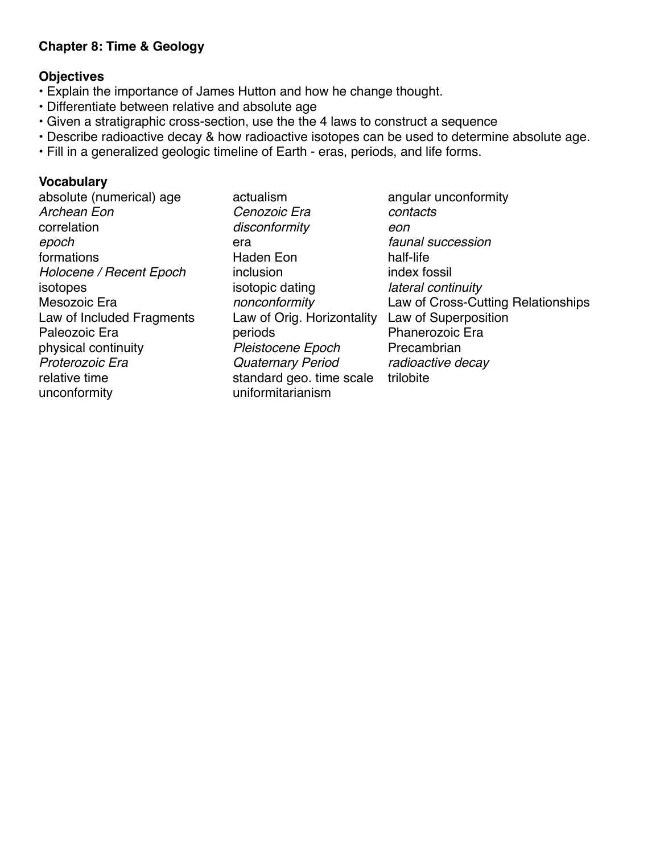### **Chapter 8: Time & Geology**

### **Objectives**

- Explain the importance of James Hutton and how he change thought.
- Differentiate between relative and absolute age
- Given a stratigraphic cross-section, use the the 4 laws to construct a sequence
- Describe radioactive decay & how radioactive isotopes can be used to determine absolute age.
- Fill in a generalized geologic timeline of Earth eras, periods, and life forms.

#### **Vocabulary**

*Archean Eon Cenozoic Era contacts* correlation *disconformity eon epoch* era *faunal succession* formations **Haden** Eon half-life *Holocene / Recent Epoch* inclusion index fossil isotopes isotopic dating *lateral continuity* Law of Included Fragments Law of Orig. Horizontality Law of Superposition Paleozoic Era **periods** Phanerozoic Era physical continuity *Pleistocene Epoch* Precambrian *Proterozoic Era Quaternary Period radioactive decay* relative time standard geo. time scale trilobite unconformity uniformitarianism

absolute (numerical) age actualism angular unconformity Mesozoic Era *nonconformity* Law of Cross-Cutting Relationships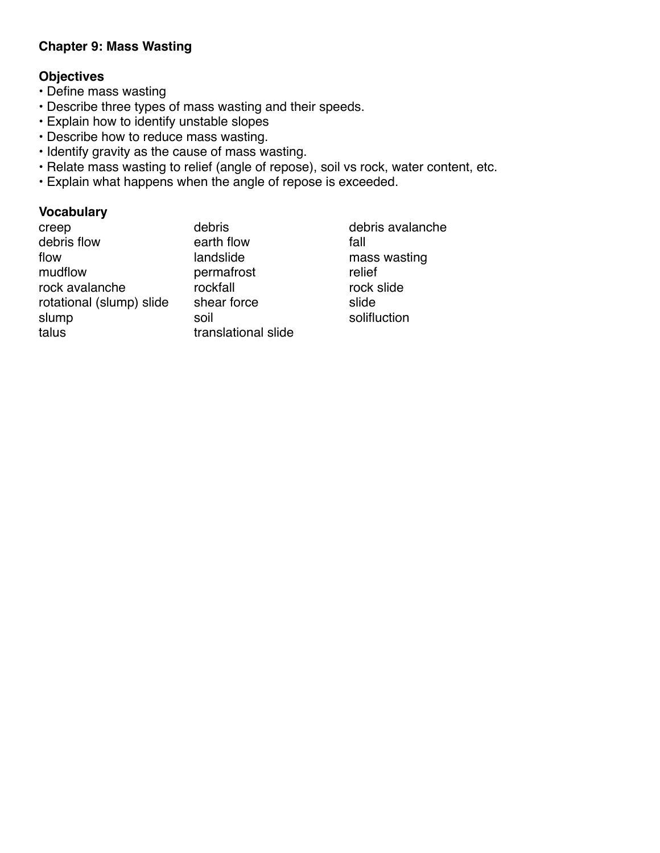### **Chapter 9: Mass Wasting**

# **Objectives**

- Define mass wasting
- Describe three types of mass wasting and their speeds.
- Explain how to identify unstable slopes
- Describe how to reduce mass wasting.
- Identify gravity as the cause of mass wasting.
- Relate mass wasting to relief (angle of repose), soil vs rock, water content, etc.
- Explain what happens when the angle of repose is exceeded.

### **Vocabulary**

| creep                    | ٥  |
|--------------------------|----|
| debris flow              | e  |
| flow                     | k  |
| mudflow                  | р  |
| rock avalanche           | r  |
| rotational (slump) slide | s  |
| slump                    | S  |
| talus                    | tı |

debris debris avalanche arth flow fall andslide mass wasting ermafrost relief ockfall rock slide rotational intervals in the slide slide oil solifluction ranslational slide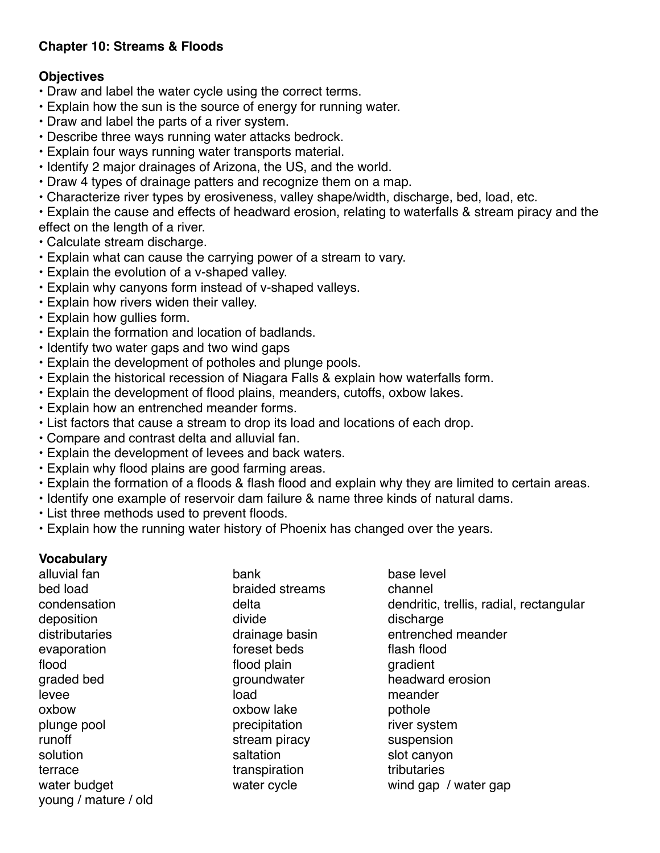# **Chapter 10: Streams & Floods**

## **Objectives**

- Draw and label the water cycle using the correct terms.
- Explain how the sun is the source of energy for running water.
- Draw and label the parts of a river system.
- Describe three ways running water attacks bedrock.
- Explain four ways running water transports material.
- Identify 2 major drainages of Arizona, the US, and the world.
- Draw 4 types of drainage patters and recognize them on a map.
- Characterize river types by erosiveness, valley shape/width, discharge, bed, load, etc.
- Explain the cause and effects of headward erosion, relating to waterfalls & stream piracy and the effect on the length of a river.
- Calculate stream discharge.
- Explain what can cause the carrying power of a stream to vary.
- Explain the evolution of a v-shaped valley.
- Explain why canyons form instead of v-shaped valleys.
- Explain how rivers widen their valley.
- Explain how gullies form.
- Explain the formation and location of badlands.
- Identify two water gaps and two wind gaps
- Explain the development of potholes and plunge pools.
- Explain the historical recession of Niagara Falls & explain how waterfalls form.
- Explain the development of flood plains, meanders, cutoffs, oxbow lakes.
- Explain how an entrenched meander forms.
- List factors that cause a stream to drop its load and locations of each drop.
- Compare and contrast delta and alluvial fan.
- Explain the development of levees and back waters.
- Explain why flood plains are good farming areas.
- Explain the formation of a floods & flash flood and explain why they are limited to certain areas.
- Identify one example of reservoir dam failure & name three kinds of natural dams.
- List three methods used to prevent floods.
- Explain how the running water history of Phoenix has changed over the years.

### **Vocabulary**

alluvial fan bank base level bed load braided streams channel deposition discharge divide divide discharge discharge evaporation evaporation foreset beds flash flood flood **flood flood plain gradient** levee levee and the load and the meander oxbow oxbow lake pothole plunge pool **precipitation** precipitation **river system** runoff stream piracy suspension solution saltation saltation saltation solution solution subsetsed in the set of the set of the set of the set o terrace transpiration transpiration tributaries young / mature / old

condensation delta dendritic, trellis, radial, rectangular distributaries drainage basin entrenched meander graded bed groundwater headward erosion water budget water cycle water wind gap / water gap